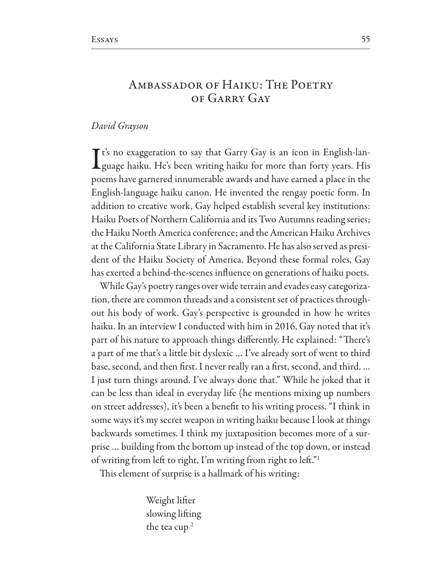## AMBASSADOR OF HAIKU: THE POETRY OF GARRY GAY

## David Grayson

 $\mathsf{T}$ t's no exaggeration to say that Garry Gay is an icon in English-lan-Lguage haiku. He's been writing haiku for more than forty years. His poems have garnered innumerable awards and have earned a place in the English-language haiku canon. He invented the rengay poetic form. In addition to creative work, Gay helped establish several key institutions: Haiku Poets of Northern California and its Two Autumns reading series; the Haiku North America conference: and the American Haiku Archives at the California State Library in Sacramento. He has also served as president of the Haiku Society of America. Beyond these formal roles, Gay has exerted a behind-the-scenes influence on generations of haiku poets.

While Gay's poetry ranges over wide terrain and evades easy categorization, there are common threads and a consistent set of practices throughout his body of work. Gay's perspective is grounded in how he writes haiku. In an interview I conducted with him in 2016, Gay noted that it's part of his nature to approach things differently. He explained: "There's a part of me that's a little bit dyslexic ... I've already sort of went to third base, second, and then first. I never really ran a first, second, and third.... I just turn things around. I've always done that." While he joked that it can be less than ideal in everyday life (he mentions mixing up numbers on street addresses), it's been a benefit to his writing process. "I think in some ways it's my secret weapon in writing haiku because I look at things backwards sometimes. I think my juxtaposition becomes more of a surprise ... building from the bottom up instead of the top down, or instead of writing from left to right, I'm writing from right to left."<sup>1</sup>

This element of surprise is a hallmark of his writing:

Weight lifter slowing lifting the tea cup<sup>2</sup>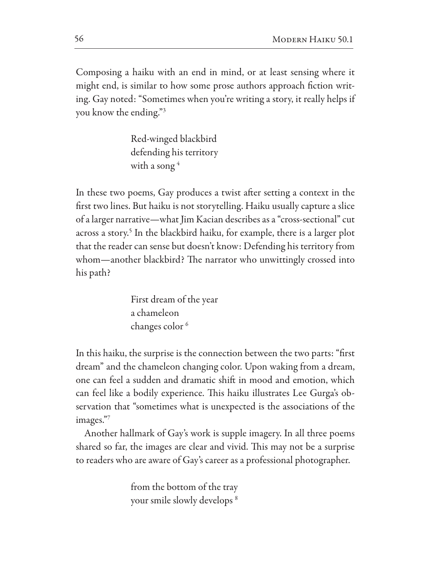Composing a haiku with an end in mind, or at least sensing where it might end, is similar to how some prose authors approach fction writing. Gay noted: "Sometimes when you're writing a story, it really helps if you know the ending."3

> Red-winged blackbird defending his territory with a song<sup>4</sup>

In these two poems, Gay produces a twist after setting a context in the frst two lines. But haiku is not storytelling. Haiku usually capture a slice of a larger narrative—what Jim Kacian describes as a "cross-sectional" cut across a story.<sup>5</sup> In the blackbird haiku, for example, there is a larger plot that the reader can sense but doesn't know: Defending his territory from whom—another blackbird? The narrator who unwittingly crossed into his path?

> First dream of the year a chameleon changes color<sup>6</sup>

In this haiku, the surprise is the connection between the two parts: "frst dream" and the chameleon changing color. Upon waking from a dream, one can feel a sudden and dramatic shif in mood and emotion, which can feel like a bodily experience. This haiku illustrates Lee Gurga's observation that "sometimes what is unexpected is the associations of the images."7

Another hallmark of Gay's work is supple imagery. In all three poems shared so far, the images are clear and vivid. This may not be a surprise to readers who are aware of Gay's career as a professional photographer.

> from the bottom of the tray your smile slowly develops 8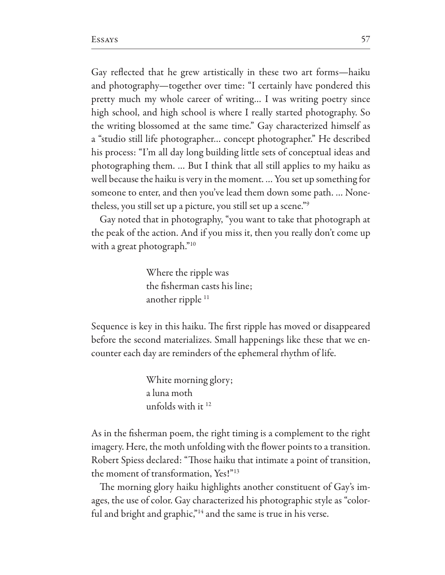Gay refected that he grew artistically in these two art forms—haiku and photography—together over time: "I certainly have pondered this pretty much my whole career of writing… I was writing poetry since high school, and high school is where I really started photography. So the writing blossomed at the same time." Gay characterized himself as a "studio still life photographer… concept photographer." He described his process: "I'm all day long building little sets of conceptual ideas and photographing them. … But I think that all still applies to my haiku as well because the haiku is very in the moment. … You set up something for someone to enter, and then you've lead them down some path. … Nonetheless, you still set up a picture, you still set up a scene."9

Gay noted that in photography, "you want to take that photograph at the peak of the action. And if you miss it, then you really don't come up with a great photograph."<sup>10</sup>

> Where the ripple was the fsherman casts his line; another ripple  $11$

Sequence is key in this haiku. The first ripple has moved or disappeared before the second materializes. Small happenings like these that we encounter each day are reminders of the ephemeral rhythm of life.

> White morning glory; a luna moth unfolds with it 12

As in the fsherman poem, the right timing is a complement to the right imagery. Here, the moth unfolding with the flower points to a transition. Robert Spiess declared: "Those haiku that intimate a point of transition, the moment of transformation, Yes!"13

The morning glory haiku highlights another constituent of Gay's images, the use of color. Gay characterized his photographic style as "colorful and bright and graphic,"<sup>14</sup> and the same is true in his verse.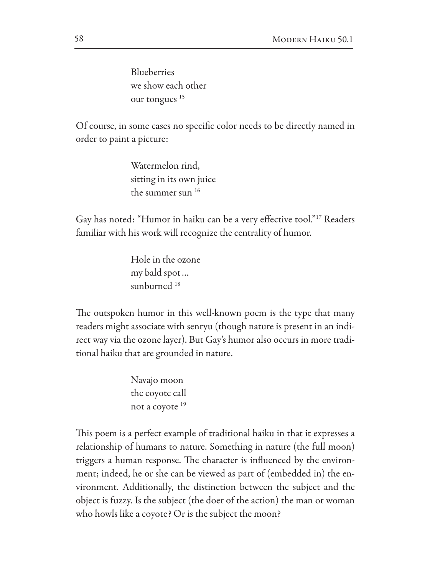Blueberries we show each other our tongues<sup>15</sup>

Of course, in some cases no specific color needs to be directly named in order to paint a picture:

> Watermelon rind, sitting in its own juice the summer sun 16

Gay has noted: "Humor in haiku can be a very efective tool."17 Readers familiar with his work will recognize the centrality of humor.

> Hole in the ozone my bald spot… sunburned<sup>18</sup>

The outspoken humor in this well-known poem is the type that many readers might associate with senryu (though nature is present in an indirect way via the ozone layer). But Gay's humor also occurs in more traditional haiku that are grounded in nature.

> Navajo moon the coyote call not a coyote <sup>19</sup>

This poem is a perfect example of traditional haiku in that it expresses a relationship of humans to nature. Something in nature (the full moon) triggers a human response. The character is influenced by the environment; indeed, he or she can be viewed as part of (embedded in) the environment. Additionally, the distinction between the subject and the object is fuzzy. Is the subject (the doer of the action) the man or woman who howls like a coyote? Or is the subject the moon?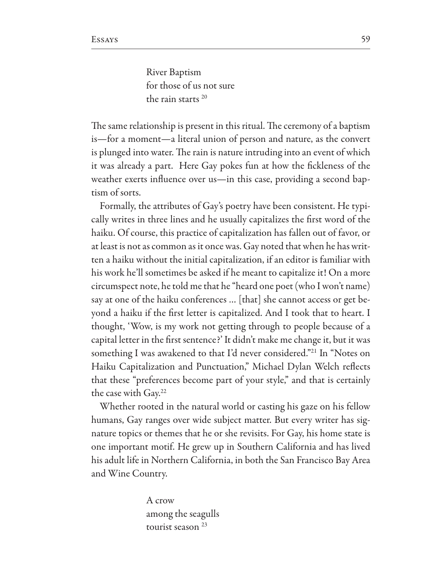River Baptism for those of us not sure the rain starts 20

The same relationship is present in this ritual. The ceremony of a baptism is—for a moment—a literal union of person and nature, as the convert is plunged into water. The rain is nature intruding into an event of which it was already a part. Here Gay pokes fun at how the fckleness of the weather exerts influence over us—in this case, providing a second baptism of sorts.

Formally, the attributes of Gay's poetry have been consistent. He typically writes in three lines and he usually capitalizes the frst word of the haiku. Of course, this practice of capitalization has fallen out of favor, or at least is not as common as it once was. Gay noted that when he has written a haiku without the initial capitalization, if an editor is familiar with his work he'll sometimes be asked if he meant to capitalize it! On a more circumspect note, he told me that he "heard one poet (who I won't name) say at one of the haiku conferences … [that] she cannot access or get beyond a haiku if the frst letter is capitalized. And I took that to heart. I thought, 'Wow, is my work not getting through to people because of a capital letter in the frst sentence?' It didn't make me change it, but it was something I was awakened to that I'd never considered."21 In "Notes on Haiku Capitalization and Punctuation," Michael Dylan Welch reflects that these "preferences become part of your style," and that is certainly the case with Gay.22

Whether rooted in the natural world or casting his gaze on his fellow humans, Gay ranges over wide subject matter. But every writer has signature topics or themes that he or she revisits. For Gay, his home state is one important motif. He grew up in Southern California and has lived his adult life in Northern California, in both the San Francisco Bay Area and Wine Country.

> A crow among the seagulls tourist season<sup>23</sup>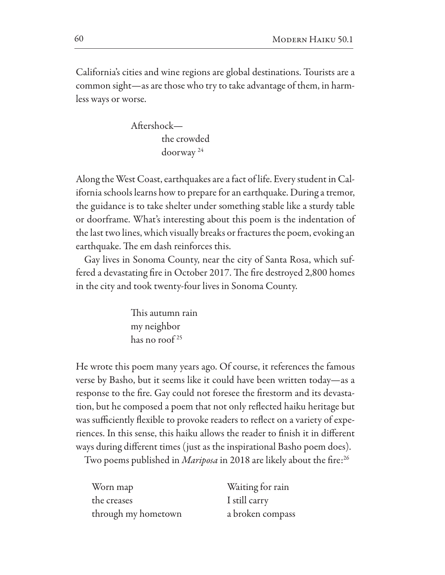California's cities and wine regions are global destinations. Tourists are a common sight—as are those who try to take advantage of them, in harmless ways or worse.

Afershock the crowded doorway

Along the West Coast, earthquakes are a fact of life. Every student in California schools learns how to prepare for an earthquake. During a tremor, the guidance is to take shelter under something stable like a sturdy table or doorframe. What's interesting about this poem is the indentation of the last two lines, which visually breaks or fractures the poem, evoking an earthquake. The em dash reinforces this.

Gay lives in Sonoma County, near the city of Santa Rosa, which suffered a devastating fire in October 2017. The fire destroyed 2,800 homes in the city and took twenty-four lives in Sonoma County.

> This autumn rain my neighbor has no roof 25

He wrote this poem many years ago. Of course, it references the famous verse by Basho, but it seems like it could have been written today—as a response to the fre. Gay could not foresee the frestorm and its devastation, but he composed a poem that not only refected haiku heritage but was sufficiently flexible to provoke readers to reflect on a variety of experiences. In this sense, this haiku allows the reader to fnish it in diferent ways during diferent times (just as the inspirational Basho poem does).

Two poems published in *Mariposa* in 2018 are likely about the fire:<sup>26</sup>

| Worn map            |
|---------------------|
| the creases         |
| through my hometown |

Waiting for rain I still carry a broken compass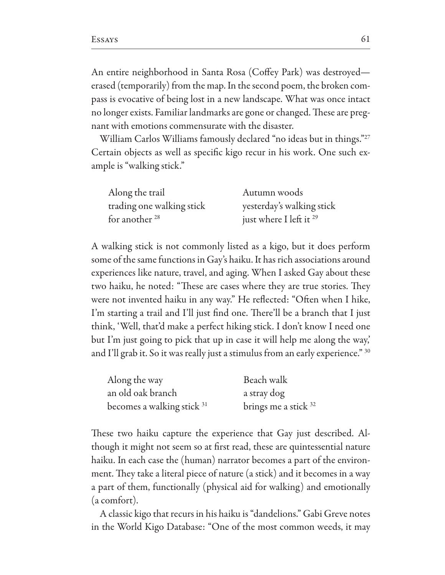An entire neighborhood in Santa Rosa (Coffey Park) was destroyed erased (temporarily) from the map. In the second poem, the broken compass is evocative of being lost in a new landscape. What was once intact no longer exists. Familiar landmarks are gone or changed. These are pregnant with emotions commensurate with the disaster.

William Carlos Williams famously declared "no ideas but in things."27 Certain objects as well as specific kigo recur in his work. One such example is "walking stick."

| Along the trail           | Autumn woods                       |
|---------------------------|------------------------------------|
| trading one walking stick | yesterday's walking stick          |
| for another 28            | just where I left it <sup>29</sup> |

A walking stick is not commonly listed as a kigo, but it does perform some of the same functions in Gay's haiku. It has rich associations around experiences like nature, travel, and aging. When I asked Gay about these two haiku, he noted: "These are cases where they are true stories. They were not invented haiku in any way." He reflected: "Often when I hike, I'm starting a trail and I'll just find one. There'll be a branch that I just think, 'Well, that'd make a perfect hiking stick. I don't know I need one but I'm just going to pick that up in case it will help me along the way,' and I'll grab it. So it was really just a stimulus from an early experience." 30

| Along the way                         | Beach walk           |
|---------------------------------------|----------------------|
| an old oak branch                     | a stray dog          |
| becomes a walking stick <sup>31</sup> | brings me a stick 32 |

These two haiku capture the experience that Gay just described. Although it might not seem so at first read, these are quintessential nature haiku. In each case the (human) narrator becomes a part of the environment. They take a literal piece of nature (a stick) and it becomes in a way a part of them, functionally (physical aid for walking) and emotionally (a comfort).

A classic kigo that recurs in his haiku is "dandelions." Gabi Greve notes in the World Kigo Database: "One of the most common weeds, it may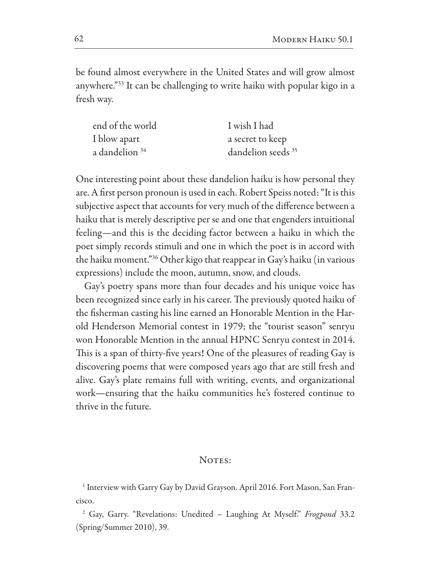be found almost everywhere in the United States and will grow almost anywhere."<sup>33</sup> It can be challenging to write haiku with popular kigo in a fresh way.

| end of the world          | I wish I had                  |
|---------------------------|-------------------------------|
| I blow apart              | a secret to keep              |
| a dandelion <sup>34</sup> | dandelion seeds <sup>35</sup> |

One interesting point about these dandelion haiku is how personal they are. A first person pronoun is used in each. Robert Speiss noted: "It is this subjective aspect that accounts for very much of the difference between a haiku that is merely descriptive per se and one that engenders intuitional feeling—and this is the deciding factor between a haiku in which the poet simply records stimuli and one in which the poet is in accord with the haiku moment."<sup>36</sup> Other kigo that reappear in Gay's haiku (in various expressions) include the moon, autumn, snow, and clouds.

Gay's poetry spans more than four decades and his unique voice has been recognized since early in his career. The previously quoted haiku of the fisherman casting his line earned an Honorable Mention in the Harold Henderson Memorial contest in 1979; the "tourist season" senryu won Honorable Mention in the annual HPNC Senryu contest in 2014. This is a span of thirty-five years! One of the pleasures of reading Gay is discovering poems that were composed years ago that are still fresh and alive. Gay's plate remains full with writing, events, and organizational work—ensuring that the haiku communities he's fostered continue to thrive in the future.

## NOTES:

<sup>1</sup> Interview with Garry Gay by David Grayson. April 2016. Fort Mason, San Francisco.

<sup>2</sup> Gay, Garry. "Revelations: Unedited - Laughing At Myself." *Frogpond* 33.2 (Spring/Summer 2010), 39.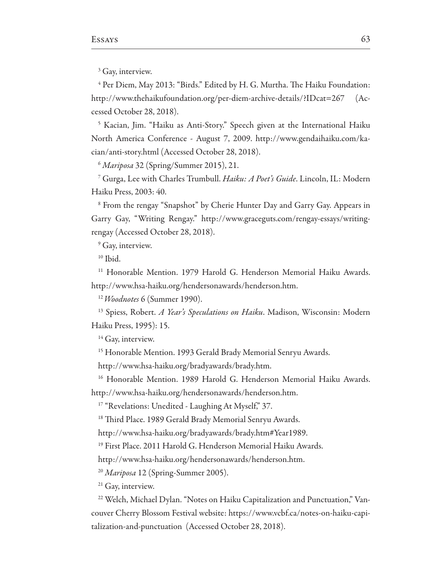<sup>3</sup> Gay, interview.

<sup>4</sup> Per Diem, May 2013: "Birds." Edited by H. G. Murtha. The Haiku Foundation: http://www.thehaikufoundation.org/per-diem-archive-details/?IDcat=267  $(Ac$ cessed October 28, 2018).

<sup>5</sup> Kacian, Jim. "Haiku as Anti-Story." Speech given at the International Haiku North America Conference - August 7, 2009. http://www.gendaihaiku.com/kacian/anti-story.html (Accessed October 28, 2018).

 $<sup>6</sup> *Mariposa*$  32 (Spring/Summer 2015), 21.</sup>

<sup>7</sup> Gurga, Lee with Charles Trumbull. Haiku: A Poet's Guide. Lincoln, IL: Modern Haiku Press, 2003: 40.

<sup>8</sup> From the rengay "Snapshot" by Cherie Hunter Day and Garry Gay. Appears in Garry Gay, "Writing Rengay." http://www.graceguts.com/rengay-essays/writingrengay (Accessed October 28, 2018).

<sup>9</sup> Gay, interview.

 $10$  Ibid.

<sup>11</sup> Honorable Mention. 1979 Harold G. Henderson Memorial Haiku Awards. http://www.hsa-haiku.org/hendersonawards/henderson.htm.

<sup>12</sup> Woodnotes 6 (Summer 1990).

<sup>13</sup> Spiess, Robert. A Year's Speculations on Haiku. Madison, Wisconsin: Modern Haiku Press, 1995): 15.

<sup>14</sup> Gay, interview.

<sup>15</sup> Honorable Mention. 1993 Gerald Brady Memorial Senryu Awards.

http://www.hsa-haiku.org/bradyawards/brady.htm.

<sup>16</sup> Honorable Mention, 1989 Harold G. Henderson Memorial Haiku Awards.

http://www.hsa-haiku.org/hendersonawards/henderson.htm.

<sup>17</sup> "Revelations: Unedited - Laughing At Myself," 37.

<sup>18</sup> Third Place. 1989 Gerald Brady Memorial Senryu Awards.

http://www.hsa-haiku.org/bradyawards/brady.htm#Year1989.

<sup>19</sup> First Place. 2011 Harold G. Henderson Memorial Haiku Awards.

http://www.hsa-haiku.org/hendersonawards/henderson.htm.

<sup>20</sup> Mariposa 12 (Spring-Summer 2005).

<sup>21</sup> Gay, interview.

<sup>22</sup> Welch, Michael Dylan. "Notes on Haiku Capitalization and Punctuation," Vancouver Cherry Blossom Festival website: https://www.vcbf.ca/notes-on-haiku-capitalization-and-punctuation (Accessed October 28, 2018).